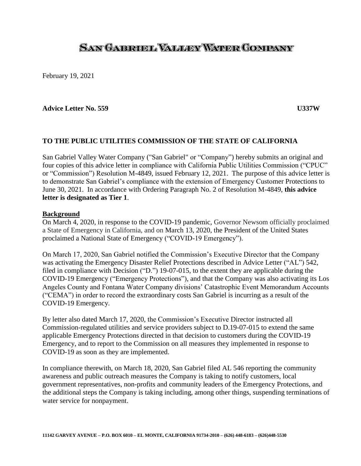# SAN GAERUEL VALLERY WATER COMPANY

February 19, 2021

#### **Advice Letter No. 559 U337W**

#### **TO THE PUBLIC UTILITIES COMMISSION OF THE STATE OF CALIFORNIA**

San Gabriel Valley Water Company ("San Gabriel" or "Company") hereby submits an original and four copies of this advice letter in compliance with California Public Utilities Commission ("CPUC" or "Commission") Resolution M-4849, issued February 12, 2021. The purpose of this advice letter is to demonstrate San Gabriel's compliance with the extension of Emergency Customer Protections to June 30, 2021. In accordance with Ordering Paragraph No. 2 of Resolution M-4849, **this advice letter is designated as Tier 1**.

#### **Background**

On March 4, 2020, in response to the COVID-19 pandemic, Governor Newsom officially proclaimed a State of Emergency in California, and on March 13, 2020, the President of the United States proclaimed a National State of Emergency ("COVID-19 Emergency").

On March 17, 2020, San Gabriel notified the Commission's Executive Director that the Company was activating the Emergency Disaster Relief Protections described in Advice Letter ("AL") 542, filed in compliance with Decision ("D.") 19-07-015, to the extent they are applicable during the COVID-19 Emergency ("Emergency Protections"), and that the Company was also activating its Los Angeles County and Fontana Water Company divisions' Catastrophic Event Memorandum Accounts ("CEMA") in order to record the extraordinary costs San Gabriel is incurring as a result of the COVID-19 Emergency.

By letter also dated March 17, 2020, the Commission's Executive Director instructed all Commission-regulated utilities and service providers subject to D.19-07-015 to extend the same applicable Emergency Protections directed in that decision to customers during the COVID-19 Emergency, and to report to the Commission on all measures they implemented in response to COVID-19 as soon as they are implemented.

In compliance therewith, on March 18, 2020, San Gabriel filed AL 546 reporting the community awareness and public outreach measures the Company is taking to notify customers, local government representatives, non-profits and community leaders of the Emergency Protections, and the additional steps the Company is taking including, among other things, suspending terminations of water service for nonpayment.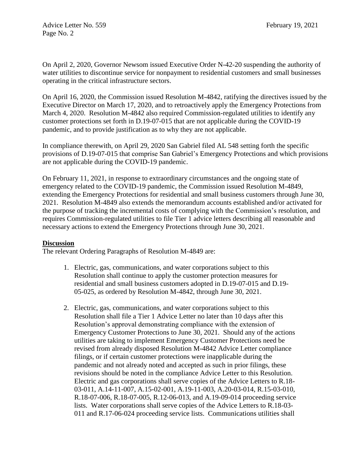On April 2, 2020, Governor Newsom issued Executive Order N-42-20 suspending the authority of water utilities to discontinue service for nonpayment to residential customers and small businesses operating in the critical infrastructure sectors.

On April 16, 2020, the Commission issued Resolution M-4842, ratifying the directives issued by the Executive Director on March 17, 2020, and to retroactively apply the Emergency Protections from March 4, 2020. Resolution M-4842 also required Commission-regulated utilities to identify any customer protections set forth in D.19-07-015 that are not applicable during the COVID-19 pandemic, and to provide justification as to why they are not applicable.

In compliance therewith, on April 29, 2020 San Gabriel filed AL 548 setting forth the specific provisions of D.19-07-015 that comprise San Gabriel's Emergency Protections and which provisions are not applicable during the COVID-19 pandemic.

On February 11, 2021, in response to extraordinary circumstances and the ongoing state of emergency related to the COVID-19 pandemic, the Commission issued Resolution M-4849, extending the Emergency Protections for residential and small business customers through June 30, 2021. Resolution M-4849 also extends the memorandum accounts established and/or activated for the purpose of tracking the incremental costs of complying with the Commission's resolution, and requires Commission-regulated utilities to file Tier 1 advice letters describing all reasonable and necessary actions to extend the Emergency Protections through June 30, 2021.

## **Discussion**

The relevant Ordering Paragraphs of Resolution M-4849 are:

- 1. Electric, gas, communications, and water corporations subject to this Resolution shall continue to apply the customer protection measures for residential and small business customers adopted in D.19-07-015 and D.19- 05-025, as ordered by Resolution M-4842, through June 30, 2021.
- 2. Electric, gas, communications, and water corporations subject to this Resolution shall file a Tier 1 Advice Letter no later than 10 days after this Resolution's approval demonstrating compliance with the extension of Emergency Customer Protections to June 30, 2021. Should any of the actions utilities are taking to implement Emergency Customer Protections need be revised from already disposed Resolution M-4842 Advice Letter compliance filings, or if certain customer protections were inapplicable during the pandemic and not already noted and accepted as such in prior filings, these revisions should be noted in the compliance Advice Letter to this Resolution. Electric and gas corporations shall serve copies of the Advice Letters to R.18- 03-011, A.14-11-007, A.15-02-001, A.19-11-003, A.20-03-014, R.15-03-010, R.18-07-006, R.18-07-005, R.12-06-013, and A.19-09-014 proceeding service lists. Water corporations shall serve copies of the Advice Letters to R.18-03- 011 and R.17-06-024 proceeding service lists. Communications utilities shall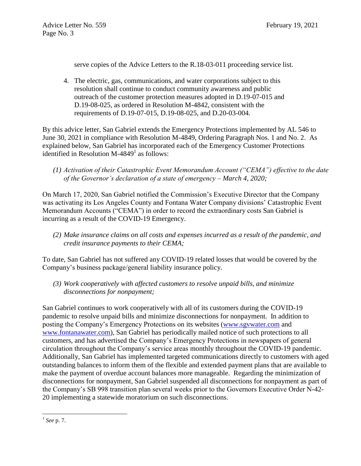serve copies of the Advice Letters to the R.18-03-011 proceeding service list.

4. The electric, gas, communications, and water corporations subject to this resolution shall continue to conduct community awareness and public outreach of the customer protection measures adopted in D.19-07-015 and D.19-08-025, as ordered in Resolution M-4842, consistent with the requirements of D.19-07-015, D.19-08-025, and D.20-03-004.

By this advice letter, San Gabriel extends the Emergency Protections implemented by AL 546 to June 30, 2021 in compliance with Resolution M-4849, Ordering Paragraph Nos. 1 and No. 2. As explained below, San Gabriel has incorporated each of the Emergency Customer Protections identified in Resolution M-4849 $^1$  as follows:

*(1) Activation of their Catastrophic Event Memorandum Account ("CEMA") effective to the date of the Governor's declaration of a state of emergency – March 4, 2020;*

On March 17, 2020, San Gabriel notified the Commission's Executive Director that the Company was activating its Los Angeles County and Fontana Water Company divisions' Catastrophic Event Memorandum Accounts ("CEMA") in order to record the extraordinary costs San Gabriel is incurring as a result of the COVID-19 Emergency.

*(2) Make insurance claims on all costs and expenses incurred as a result of the pandemic, and credit insurance payments to their CEMA;*

To date, San Gabriel has not suffered any COVID-19 related losses that would be covered by the Company's business package/general liability insurance policy.

*(3) Work cooperatively with affected customers to resolve unpaid bills, and minimize disconnections for nonpayment;*

San Gabriel continues to work cooperatively with all of its customers during the COVID-19 pandemic to resolve unpaid bills and minimize disconnections for nonpayment. In addition to posting the Company's Emergency Protections on its websites [\(www.sgvwater.com](http://www.sgvwater.com/) and [www.fontanawater.com\)](http://www.fontanawater.com/), San Gabriel has periodically mailed notice of such protections to all customers, and has advertised the Company's Emergency Protections in newspapers of general circulation throughout the Company's service areas monthly throughout the COVID-19 pandemic. Additionally, San Gabriel has implemented targeted communications directly to customers with aged outstanding balances to inform them of the flexible and extended payment plans that are available to make the payment of overdue account balances more manageable. Regarding the minimization of disconnections for nonpayment, San Gabriel suspended all disconnections for nonpayment as part of the Company's SB 998 transition plan several weeks prior to the Governors Executive Order N-42- 20 implementing a statewide moratorium on such disconnections.

l 1 *See* p. 7.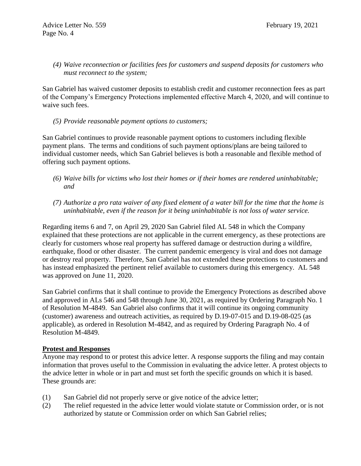## *(4) Waive reconnection or facilities fees for customers and suspend deposits for customers who must reconnect to the system;*

San Gabriel has waived customer deposits to establish credit and customer reconnection fees as part of the Company's Emergency Protections implemented effective March 4, 2020, and will continue to waive such fees.

## *(5) Provide reasonable payment options to customers;*

San Gabriel continues to provide reasonable payment options to customers including flexible payment plans. The terms and conditions of such payment options/plans are being tailored to individual customer needs, which San Gabriel believes is both a reasonable and flexible method of offering such payment options.

- *(6) Waive bills for victims who lost their homes or if their homes are rendered uninhabitable; and*
- *(7) Authorize a pro rata waiver of any fixed element of a water bill for the time that the home is uninhabitable, even if the reason for it being uninhabitable is not loss of water service.*

Regarding items 6 and 7, on April 29, 2020 San Gabriel filed AL 548 in which the Company explained that these protections are not applicable in the current emergency, as these protections are clearly for customers whose real property has suffered damage or destruction during a wildfire, earthquake, flood or other disaster. The current pandemic emergency is viral and does not damage or destroy real property. Therefore, San Gabriel has not extended these protections to customers and has instead emphasized the pertinent relief available to customers during this emergency. AL 548 was approved on June 11, 2020.

San Gabriel confirms that it shall continue to provide the Emergency Protections as described above and approved in ALs 546 and 548 through June 30, 2021, as required by Ordering Paragraph No. 1 of Resolution M-4849. San Gabriel also confirms that it will continue its ongoing community (customer) awareness and outreach activities, as required by D.19-07-015 and D.19-08-025 (as applicable), as ordered in Resolution M-4842, and as required by Ordering Paragraph No. 4 of Resolution M-4849.

#### **Protest and Responses**

Anyone may respond to or protest this advice letter. A response supports the filing and may contain information that proves useful to the Commission in evaluating the advice letter. A protest objects to the advice letter in whole or in part and must set forth the specific grounds on which it is based. These grounds are:

- (1) San Gabriel did not properly serve or give notice of the advice letter;
- (2) The relief requested in the advice letter would violate statute or Commission order, or is not authorized by statute or Commission order on which San Gabriel relies;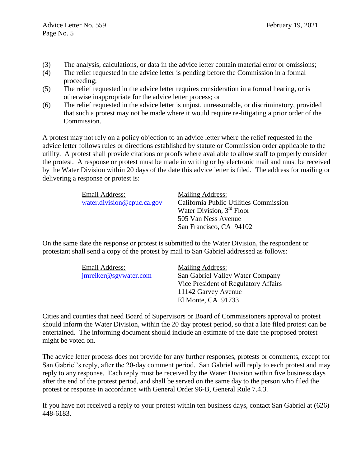- (3) The analysis, calculations, or data in the advice letter contain material error or omissions;
- (4) The relief requested in the advice letter is pending before the Commission in a formal proceeding;
- (5) The relief requested in the advice letter requires consideration in a formal hearing, or is otherwise inappropriate for the advice letter process; or
- (6) The relief requested in the advice letter is unjust, unreasonable, or discriminatory, provided that such a protest may not be made where it would require re-litigating a prior order of the Commission.

A protest may not rely on a policy objection to an advice letter where the relief requested in the advice letter follows rules or directions established by statute or Commission order applicable to the utility. A protest shall provide citations or proofs where available to allow staff to properly consider the protest. A response or protest must be made in writing or by electronic mail and must be received by the Water Division within 20 days of the date this advice letter is filed. The address for mailing or delivering a response or protest is:

| Email Address:             | Mailing Address:                       |
|----------------------------|----------------------------------------|
| water.division@cpuc.ca.gov | California Public Utilities Commission |
|                            | Water Division, $3rd$ Floor            |
|                            | 505 Van Ness Avenue                    |
|                            | San Francisco, CA 94102                |

On the same date the response or protest is submitted to the Water Division, the respondent or protestant shall send a copy of the protest by mail to San Gabriel addressed as follows:

| Email Address:        | Mailing Address:                     |
|-----------------------|--------------------------------------|
| jmreiker@sgywater.com | San Gabriel Valley Water Company     |
|                       | Vice President of Regulatory Affairs |
|                       | 11142 Garvey Avenue                  |
|                       | El Monte, CA 91733                   |

Cities and counties that need Board of Supervisors or Board of Commissioners approval to protest should inform the Water Division, within the 20 day protest period, so that a late filed protest can be entertained. The informing document should include an estimate of the date the proposed protest might be voted on.

The advice letter process does not provide for any further responses, protests or comments, except for San Gabriel's reply, after the 20-day comment period. San Gabriel will reply to each protest and may reply to any response. Each reply must be received by the Water Division within five business days after the end of the protest period, and shall be served on the same day to the person who filed the protest or response in accordance with General Order 96-B, General Rule 7.4.3.

If you have not received a reply to your protest within ten business days, contact San Gabriel at (626) 448-6183.